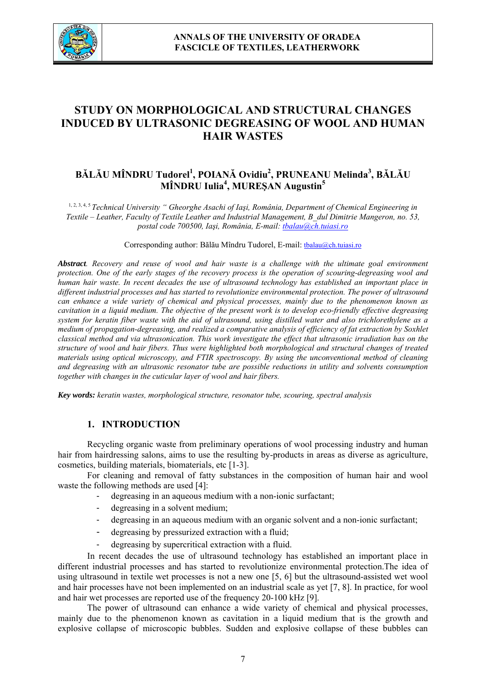

# **STUDY ON MORPHOLOGICAL AND STRUCTURAL CHANGES INDUCED BY ULTRASONIC DEGREASING OF WOOL AND HUMAN HAIR WASTES**

## **BĂLĂU MÎNDRU Tudorel<sup>1</sup> , POIANĂ Ovidiu2 , PRUNEANU Melinda<sup>3</sup> , BĂLĂU MÎNDRU Iulia4 , MUREŞAN Augustin5**

1, 2, 3, 4, 5 *Technical University " Gheorghe Asachi of Iaşi, România, Department of Chemical Engineering in Textile – Leather, Faculty of Textile Leather and Industrial Management, B\_dul Dimitrie Mangeron, no. 53, postal code 700500, Iaşi, România, E-mail: tbalau@ch.tuiasi.ro*

#### Corresponding author: Bălău Mîndru Tudorel, E-mail: tbalau@ch.tuiasi.ro

*Abstract. Recovery and reuse of wool and hair waste is a challenge with the ultimate goal environment protection. One of the early stages of the recovery process is the operation of scouring-degreasing wool and human hair waste. In recent decades the use of ultrasound technology has established an important place in different industrial processes and has started to revolutionize environmental protection. The power of ultrasound can enhance a wide variety of chemical and physical processes, mainly due to the phenomenon known as cavitation in a liquid medium. The objective of the present work is to develop eco-friendly effective degreasing system for keratin fiber waste with the aid of ultrasound, using distilled water and also trichlorethylene as a medium of propagation-degreasing, and realized a comparative analysis of efficiency of fat extraction by Soxhlet classical method and via ultrasonication. This work investigate the effect that ultrasonic irradiation has on the structure of wool and hair fibers. Thus were highlighted both morphological and structural changes of treated materials using optical microscopy, and FTIR spectroscopy. By using the unconventional method of cleaning and degreasing with an ultrasonic resonator tube are possible reductions in utility and solvents consumption together with changes in the cuticular layer of wool and hair fibers.* 

*Key words: keratin wastes, morphological structure, resonator tube, scouring, spectral analysis*

## **1. INTRODUCTION**

Recycling organic waste from preliminary operations of wool processing industry and human hair from hairdressing salons, aims to use the resulting by-products in areas as diverse as agriculture, cosmetics, building materials, biomaterials, etc [1-3].

For cleaning and removal of fatty substances in the composition of human hair and wool waste the following methods are used [4]:

- degreasing in an aqueous medium with a non-ionic surfactant;
- degreasing in a solvent medium;
- degreasing in an aqueous medium with an organic solvent and a non-ionic surfactant;
- degreasing by pressurized extraction with a fluid;
- degreasing by supercritical extraction with a fluid.

In recent decades the use of ultrasound technology has established an important place in different industrial processes and has started to revolutionize environmental protection.The idea of using ultrasound in textile wet processes is not a new one [5, 6] but the ultrasound-assisted wet wool and hair processes have not been implemented on an industrial scale as yet [7, 8]. In practice, for wool and hair wet processes are reported use of the frequency 20-100 kHz [9].

The power of ultrasound can enhance a wide variety of chemical and physical processes, mainly due to the phenomenon known as cavitation in a liquid medium that is the growth and explosive collapse of microscopic bubbles. Sudden and explosive collapse of these bubbles can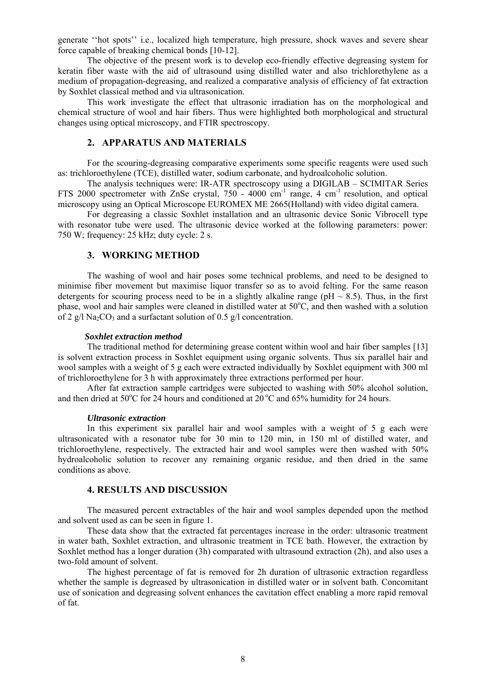generate ''hot spots'' i.e., localized high temperature, high pressure, shock waves and severe shear force capable of breaking chemical bonds [10-12].

The objective of the present work is to develop eco-friendly effective degreasing system for keratin fiber waste with the aid of ultrasound using distilled water and also trichlorethylene as a medium of propagation-degreasing, and realized a comparative analysis of efficiency of fat extraction by Soxhlet classical method and via ultrasonication.

This work investigate the effect that ultrasonic irradiation has on the morphological and chemical structure of wool and hair fibers. Thus were highlighted both morphological and structural changes using optical microscopy, and FTIR spectroscopy.

## **2. APPARATUS AND MATERIALS**

 For the scouring-degreasing comparative experiments some specific reagents were used such as: trichloroethylene (TCE), distilled water, sodium carbonate, and hydroalcoholic solution.

 The analysis techniques were: IR-ATR spectroscopy using a DIGILAB – SCIMITAR Series FTS 2000 spectrometer with ZnSe crystal, 750 - 4000 cm-1 range, 4 cm-1 resolution, and optical microscopy using an Optical Microscope EUROMEX ME 2665(Holland) with video digital camera.

 For degreasing a classic Soxhlet installation and an ultrasonic device Sonic Vibrocell type with resonator tube were used. The ultrasonic device worked at the following parameters: power: 750 W; frequency: 25 kHz; duty cycle: 2 s.

## **3. WORKING METHOD**

The washing of wool and hair poses some technical problems, and need to be designed to minimise fiber movement but maximise liquor transfer so as to avoid felting. For the same reason detergents for scouring process need to be in a slightly alkaline range ( $pH \sim 8.5$ ). Thus, in the first phase, wool and hair samples were cleaned in distilled water at 50°C, and then washed with a solution of 2 g/l Na<sub>2</sub>CO<sub>3</sub> and a surfactant solution of 0.5 g/l concentration.

#### *Soxhlet extraction method*

The traditional method for determining grease content within wool and hair fiber samples [13] is solvent extraction process in Soxhlet equipment using organic solvents. Thus six parallel hair and wool samples with a weight of 5 g each were extracted individually by Soxhlet equipment with 300 ml of trichloroethylene for 3 h with approximately three extractions performed per hour.

After fat extraction sample cartridges were subjected to washing with 50% alcohol solution, and then dried at 50°C for 24 hours and conditioned at  $20^{\circ}$ C and 65% humidity for 24 hours.

#### *Ultrasonic extraction*

In this experiment six parallel hair and wool samples with a weight of 5 g each were ultrasonicated with a resonator tube for 30 min to 120 min, in 150 ml of distilled water, and trichloroethylene, respectively. The extracted hair and wool samples were then washed with 50% hydroalcoholic solution to recover any remaining organic residue, and then dried in the same conditions as above.

## **4. RESULTS AND DISCUSSION**

The measured percent extractables of the hair and wool samples depended upon the method and solvent used as can be seen in figure 1.

These data show that the extracted fat percentages increase in the order: ultrasonic treatment in water bath, Soxhlet extraction, and ultrasonic treatment in TCE bath. However, the extraction by Soxhlet method has a longer duration (3h) comparated with ultrasound extraction (2h), and also uses a two-fold amount of solvent.

The highest percentage of fat is removed for 2h duration of ultrasonic extraction regardless whether the sample is degreased by ultrasonication in distilled water or in solvent bath. Concomitant use of sonication and degreasing solvent enhances the cavitation effect enabling a more rapid removal of fat.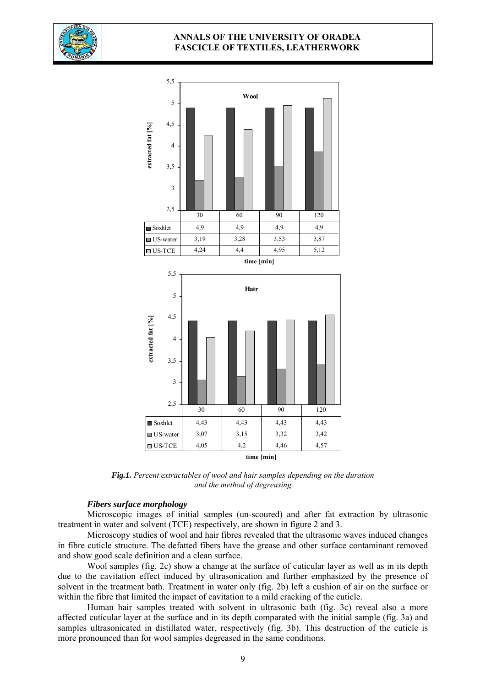

## **ANNALS OF THE UNIVERSITY OF ORADEA FASCICLE OF TEXTILES, LEATHERWORK**



*Fig.1. Percent extractables of wool and hair samples depending on the duration and the method of degreasing.* 

#### *Fibers surface morphology*

Microscopic images of initial samples (un-scoured) and after fat extraction by ultrasonic treatment in water and solvent (TCE) respectively, are shown in figure 2 and 3.

Microscopy studies of wool and hair fibres revealed that the ultrasonic waves induced changes in fibre cuticle structure. The defatted fibers have the grease and other surface contaminant removed and show good scale definition and a clean surface.

Wool samples (fig. 2c) show a change at the surface of cuticular layer as well as in its depth due to the cavitation effect induced by ultrasonication and further emphasized by the presence of solvent in the treatment bath. Treatment in water only (fig. 2b) left a cushion of air on the surface or within the fibre that limited the impact of cavitation to a mild cracking of the cuticle.

Human hair samples treated with solvent in ultrasonic bath (fig. 3c) reveal also a more affected cuticular layer at the surface and in its depth comparated with the initial sample (fig. 3a) and samples ultrasonicated in distillated water, respectively (fig. 3b). This destruction of the cuticle is more pronounced than for wool samples degreased in the same conditions.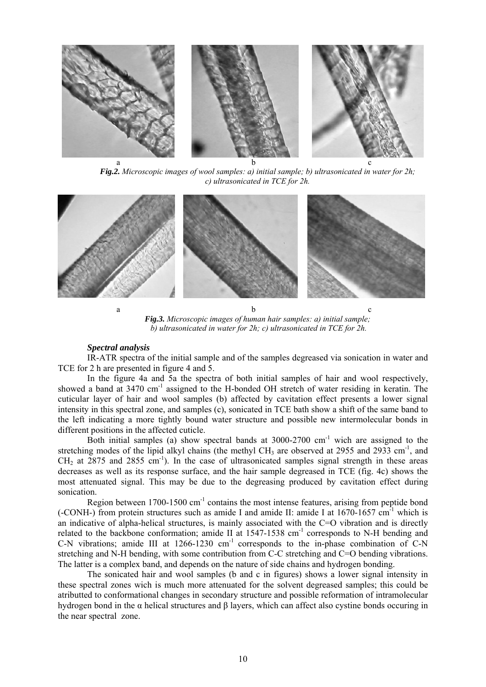

*Fig.2. Microscopic images of wool samples: a) initial sample; b) ultrasonicated in water for 2h; c) ultrasonicated in TCE for 2h.* 



*Fig.3. Microscopic images of human hair samples: a) initial sample; b) ultrasonicated in water for 2h; c) ultrasonicated in TCE for 2h.* 

#### *Spectral analysis*

IR-ATR spectra of the initial sample and of the samples degreased via sonication in water and TCE for 2 h are presented in figure 4 and 5.

In the figure 4a and 5a the spectra of both initial samples of hair and wool respectively, showed a band at 3470 cm<sup>-1</sup> assigned to the H-bonded OH stretch of water residing in keratin. The cuticular layer of hair and wool samples (b) affected by cavitation effect presents a lower signal intensity in this spectral zone, and samples (c), sonicated in TCE bath show a shift of the same band to the left indicating a more tightly bound water structure and possible new intermolecular bonds in different positions in the affected cuticle.

Both initial samples (a) show spectral bands at  $3000-2700$  cm<sup>-1</sup> wich are assigned to the stretching modes of the lipid alkyl chains (the methyl CH<sub>3</sub> are observed at 2955 and 2933 cm<sup>-1</sup>, and  $CH<sub>2</sub>$  at 2875 and 2855 cm<sup>-1</sup>). In the case of ultrasonicated samples signal strength in these areas decreases as well as its response surface, and the hair sample degreased in TCE (fig. 4c) shows the most attenuated signal. This may be due to the degreasing produced by cavitation effect during sonication.

Region between 1700-1500 cm-1 contains the most intense features, arising from peptide bond (-CONH-) from protein structures such as amide I and amide II: amide I at  $1670-1657$  cm<sup>-1</sup> which is an indicative of alpha-helical structures, is mainly associated with the C=O vibration and is directly related to the backbone conformation; amide II at 1547-1538 cm<sup>-1</sup> corresponds to N-H bending and C-N vibrations; amide III at  $1266-1230$  cm<sup>-1</sup> corresponds to the in-phase combination of C-N stretching and N-H bending, with some contribution from C-C stretching and C=O bending vibrations. The latter is a complex band, and depends on the nature of side chains and hydrogen bonding.

The sonicated hair and wool samples (b and c in figures) shows a lower signal intensity in these spectral zones wich is much more attenuated for the solvent degreased samples; this could be atributted to conformational changes in secondary structure and possible reformation of intramolecular hydrogen bond in the α helical structures and β layers, which can affect also cystine bonds occuring in the near spectral zone.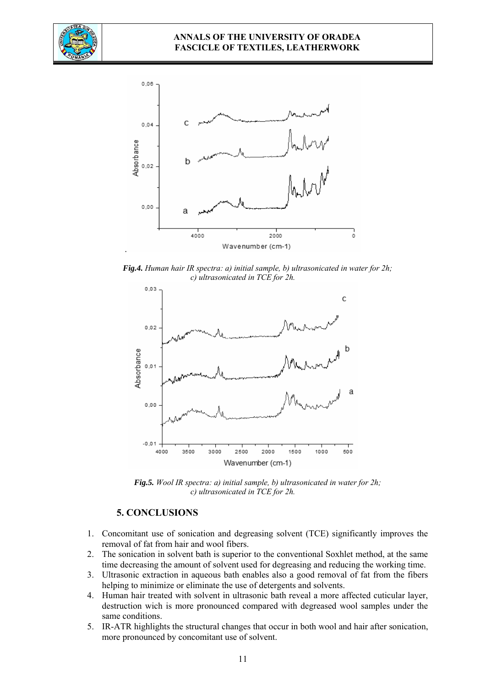



*Fig.4. Human hair IR spectra: a) initial sample, b) ultrasonicated in water for 2h; c) ultrasonicated in TCE for 2h.* 



*Fig.5. Wool IR spectra: a) initial sample, b) ultrasonicated in water for 2h; c) ultrasonicated in TCE for 2h.* 

## **5. CONCLUSIONS**

- 1. Concomitant use of sonication and degreasing solvent (TCE) significantly improves the removal of fat from hair and wool fibers.
- 2. The sonication in solvent bath is superior to the conventional Soxhlet method, at the same time decreasing the amount of solvent used for degreasing and reducing the working time.
- 3. Ultrasonic extraction in aqueous bath enables also a good removal of fat from the fibers helping to minimize or eliminate the use of detergents and solvents.
- 4. Human hair treated with solvent in ultrasonic bath reveal a more affected cuticular layer, destruction wich is more pronounced compared with degreased wool samples under the same conditions.
- 5. IR-ATR highlights the structural changes that occur in both wool and hair after sonication, more pronounced by concomitant use of solvent.